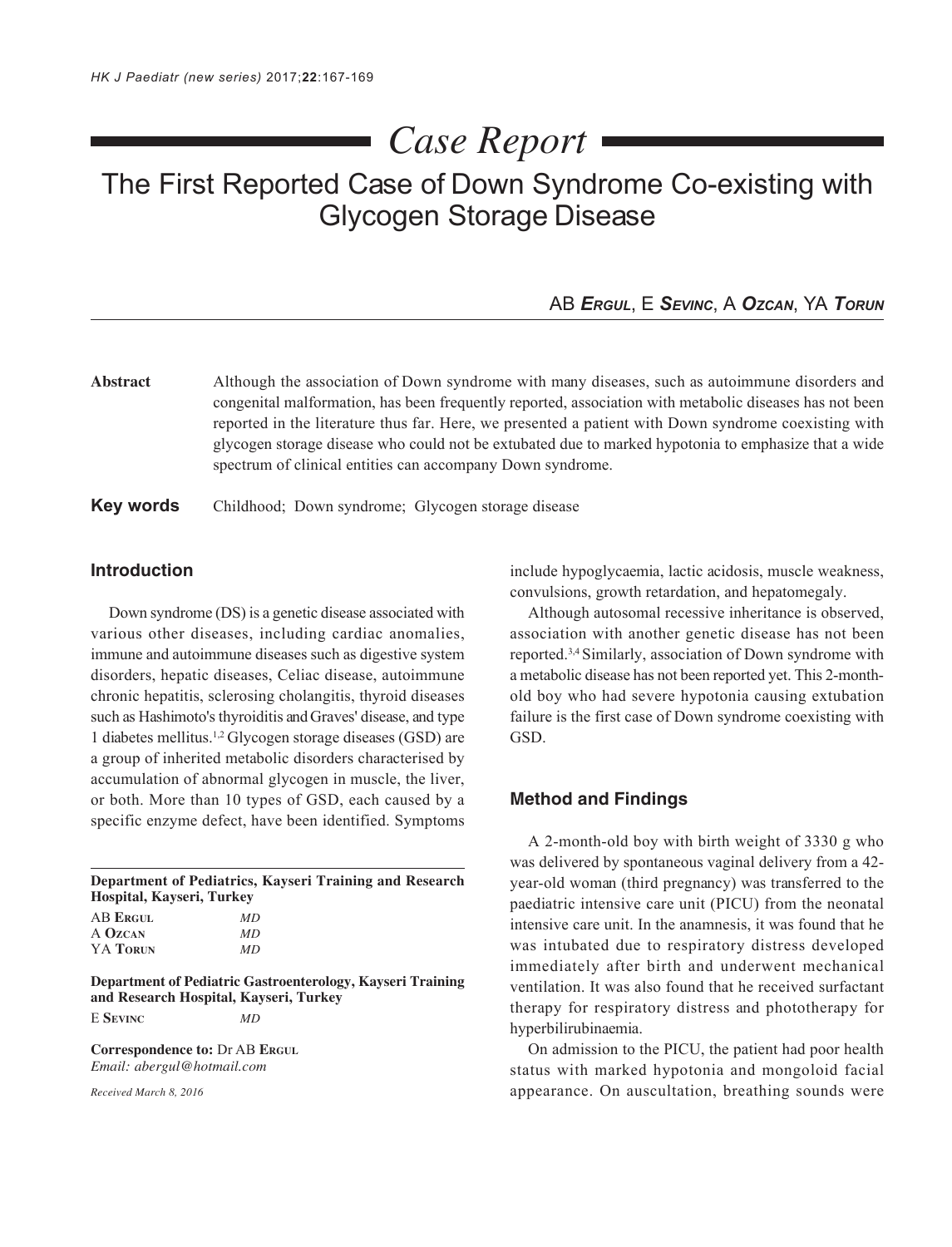# *Case Report*

# The First Reported Case of Down Syndrome Co-existing with Glycogen Storage Disease

# AB *ERGUL*, E *SEVINC*, A *OZCAN*, YA *TORUN*

**Abstract** Although the association of Down syndrome with many diseases, such as autoimmune disorders and congenital malformation, has been frequently reported, association with metabolic diseases has not been reported in the literature thus far. Here, we presented a patient with Down syndrome coexisting with glycogen storage disease who could not be extubated due to marked hypotonia to emphasize that a wide spectrum of clinical entities can accompany Down syndrome.

#### **Key words** Childhood; Down syndrome; Glycogen storage disease

# **Introduction**

Down syndrome (DS) is a genetic disease associated with various other diseases, including cardiac anomalies, immune and autoimmune diseases such as digestive system disorders, hepatic diseases, Celiac disease, autoimmune chronic hepatitis, sclerosing cholangitis, thyroid diseases such as Hashimoto's thyroiditis and Graves' disease, and type 1 diabetes mellitus.1,2 Glycogen storage diseases (GSD) are a group of inherited metabolic disorders characterised by accumulation of abnormal glycogen in muscle, the liver, or both. More than 10 types of GSD, each caused by a specific enzyme defect, have been identified. Symptoms

| Department of Pediatrics, Kayseri Training and Research<br>Hospital, Kayseri, Turkey |                                                            |
|--------------------------------------------------------------------------------------|------------------------------------------------------------|
| <b>AB ERGUL</b>                                                                      | MD                                                         |
| A OZCAN                                                                              | MD                                                         |
| YA TORUN                                                                             | <b>MD</b>                                                  |
|                                                                                      | Department of Pediatric Gastroenterology, Kayseri Training |

**and Research Hospital, Kayseri, Turkey** E **SEVINC** *MD*

**Correspondence to:** Dr AB **ERGUL** *Email: abergul@hotmail.com*

*Received March 8, 2016*

include hypoglycaemia, lactic acidosis, muscle weakness, convulsions, growth retardation, and hepatomegaly.

Although autosomal recessive inheritance is observed, association with another genetic disease has not been reported.3,4 Similarly, association of Down syndrome with a metabolic disease has not been reported yet. This 2-monthold boy who had severe hypotonia causing extubation failure is the first case of Down syndrome coexisting with GSD.

#### **Method and Findings**

A 2-month-old boy with birth weight of 3330 g who was delivered by spontaneous vaginal delivery from a 42 year-old woman (third pregnancy) was transferred to the paediatric intensive care unit (PICU) from the neonatal intensive care unit. In the anamnesis, it was found that he was intubated due to respiratory distress developed immediately after birth and underwent mechanical ventilation. It was also found that he received surfactant therapy for respiratory distress and phototherapy for hyperbilirubinaemia.

On admission to the PICU, the patient had poor health status with marked hypotonia and mongoloid facial appearance. On auscultation, breathing sounds were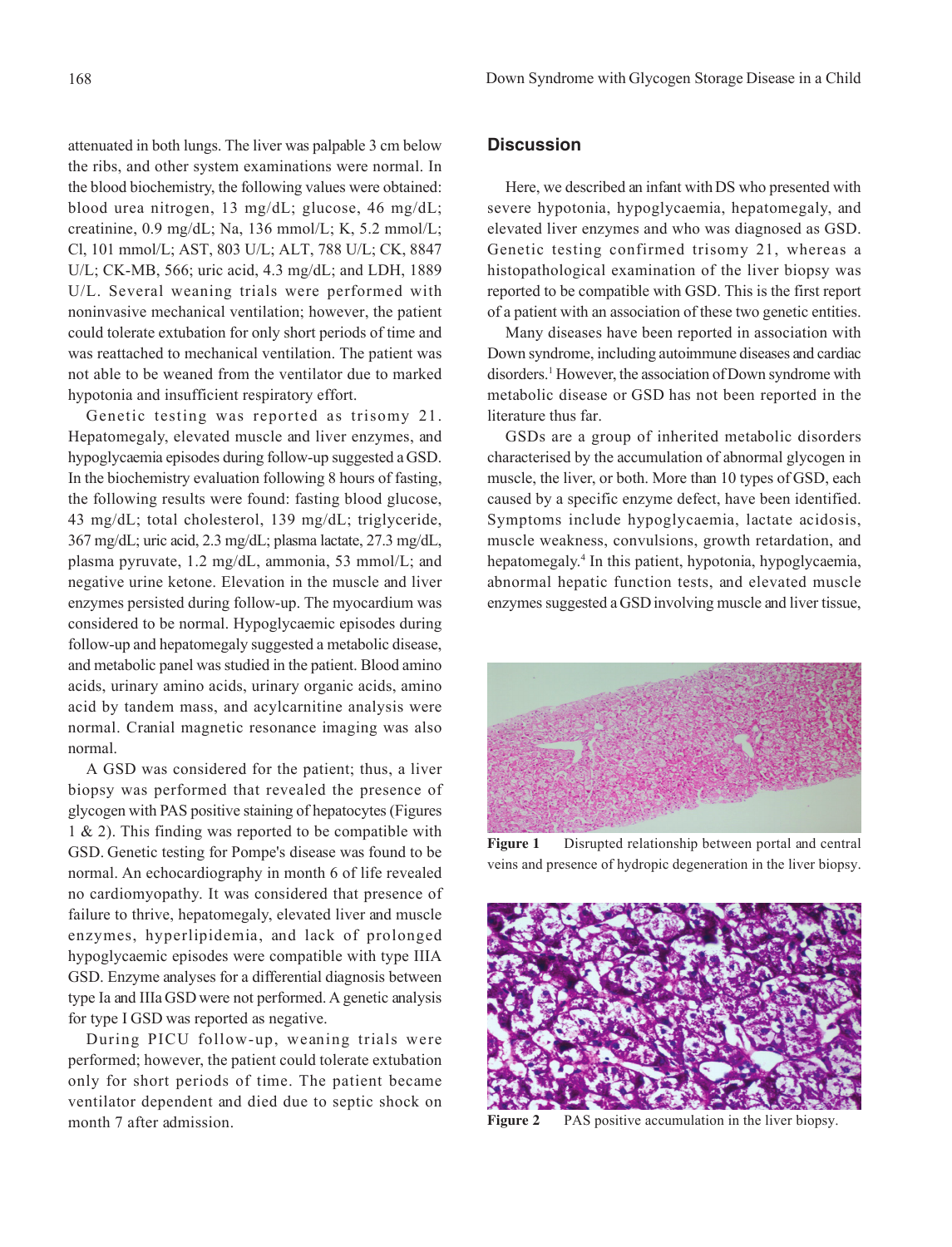attenuated in both lungs. The liver was palpable 3 cm below the ribs, and other system examinations were normal. In the blood biochemistry, the following values were obtained: blood urea nitrogen, 13 mg/dL; glucose, 46 mg/dL; creatinine, 0.9 mg/dL; Na, 136 mmol/L; K, 5.2 mmol/L; Cl, 101 mmol/L; AST, 803 U/L; ALT, 788 U/L; CK, 8847 U/L; CK-MB, 566; uric acid, 4.3 mg/dL; and LDH, 1889 U/L. Several weaning trials were performed with noninvasive mechanical ventilation; however, the patient could tolerate extubation for only short periods of time and was reattached to mechanical ventilation. The patient was not able to be weaned from the ventilator due to marked hypotonia and insufficient respiratory effort.

Genetic testing was reported as trisomy 21. Hepatomegaly, elevated muscle and liver enzymes, and hypoglycaemia episodes during follow-up suggested a GSD. In the biochemistry evaluation following 8 hours of fasting, the following results were found: fasting blood glucose, 43 mg/dL; total cholesterol, 139 mg/dL; triglyceride, 367 mg/dL; uric acid, 2.3 mg/dL; plasma lactate, 27.3 mg/dL, plasma pyruvate, 1.2 mg/dL, ammonia, 53 mmol/L; and negative urine ketone. Elevation in the muscle and liver enzymes persisted during follow-up. The myocardium was considered to be normal. Hypoglycaemic episodes during follow-up and hepatomegaly suggested a metabolic disease, and metabolic panel was studied in the patient. Blood amino acids, urinary amino acids, urinary organic acids, amino acid by tandem mass, and acylcarnitine analysis were normal. Cranial magnetic resonance imaging was also normal.

A GSD was considered for the patient; thus, a liver biopsy was performed that revealed the presence of glycogen with PAS positive staining of hepatocytes (Figures 1 & 2). This finding was reported to be compatible with GSD. Genetic testing for Pompe's disease was found to be normal. An echocardiography in month 6 of life revealed no cardiomyopathy. It was considered that presence of failure to thrive, hepatomegaly, elevated liver and muscle enzymes, hyperlipidemia, and lack of prolonged hypoglycaemic episodes were compatible with type IIIA GSD. Enzyme analyses for a differential diagnosis between type Ia and IIIa GSD were not performed. A genetic analysis for type I GSD was reported as negative.

During PICU follow-up, weaning trials were performed; however, the patient could tolerate extubation only for short periods of time. The patient became ventilator dependent and died due to septic shock on month 7 after admission.

## **Discussion**

Here, we described an infant with DS who presented with severe hypotonia, hypoglycaemia, hepatomegaly, and elevated liver enzymes and who was diagnosed as GSD. Genetic testing confirmed trisomy 21, whereas a histopathological examination of the liver biopsy was reported to be compatible with GSD. This is the first report of a patient with an association of these two genetic entities.

Many diseases have been reported in association with Down syndrome, including autoimmune diseases and cardiac disorders.1 However, the association of Down syndrome with metabolic disease or GSD has not been reported in the literature thus far.

GSDs are a group of inherited metabolic disorders characterised by the accumulation of abnormal glycogen in muscle, the liver, or both. More than 10 types of GSD, each caused by a specific enzyme defect, have been identified. Symptoms include hypoglycaemia, lactate acidosis, muscle weakness, convulsions, growth retardation, and hepatomegaly.4 In this patient, hypotonia, hypoglycaemia, abnormal hepatic function tests, and elevated muscle enzymes suggested a GSD involving muscle and liver tissue,



**Figure 1** Disrupted relationship between portal and central veins and presence of hydropic degeneration in the liver biopsy.



**Figure 2** PAS positive accumulation in the liver biopsy.